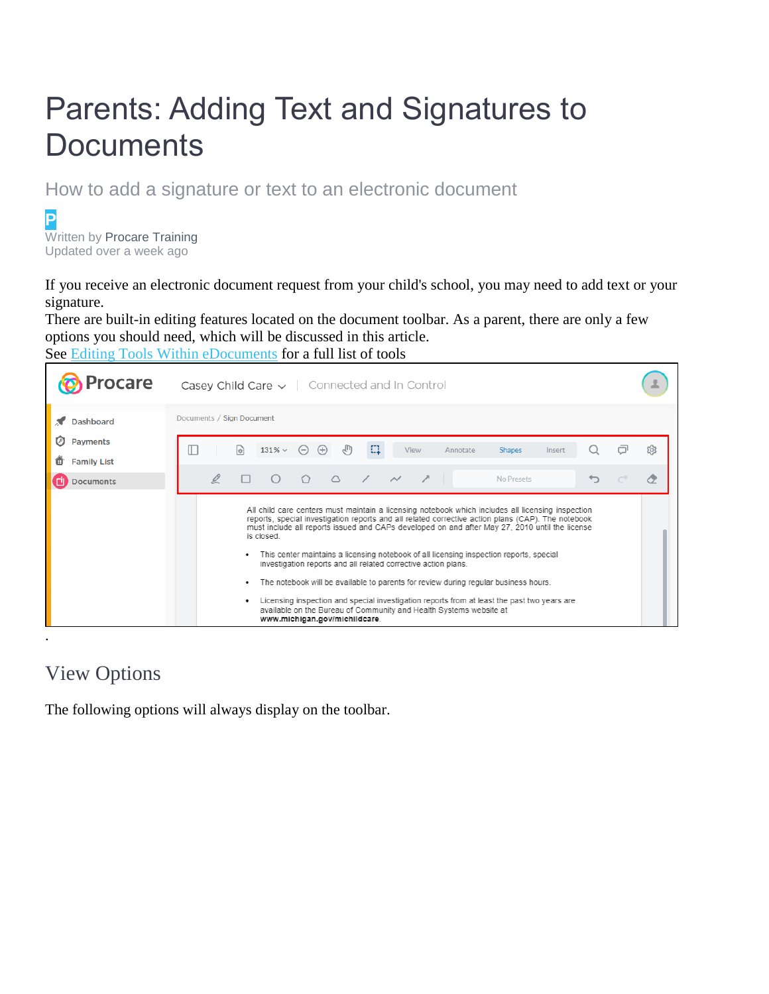# Parents: Adding Text and Signatures to **Documents**

How to add a signature or text to an electronic document

**P** Written by Procare Training Updated over a week ago

If you receive an electronic document request from your child's school, you may need to add text or your signature.

There are built-in editing features located on the document toolbar. As a parent, there are only a few options you should need, which will be discussed in this article. See [Editing Tools Within eDocuments](https://help.procareconnect.com/en/articles/5412516-editing-tools-within-edocuments) for a full list of tools



# View Options

The following options will always display on the toolbar.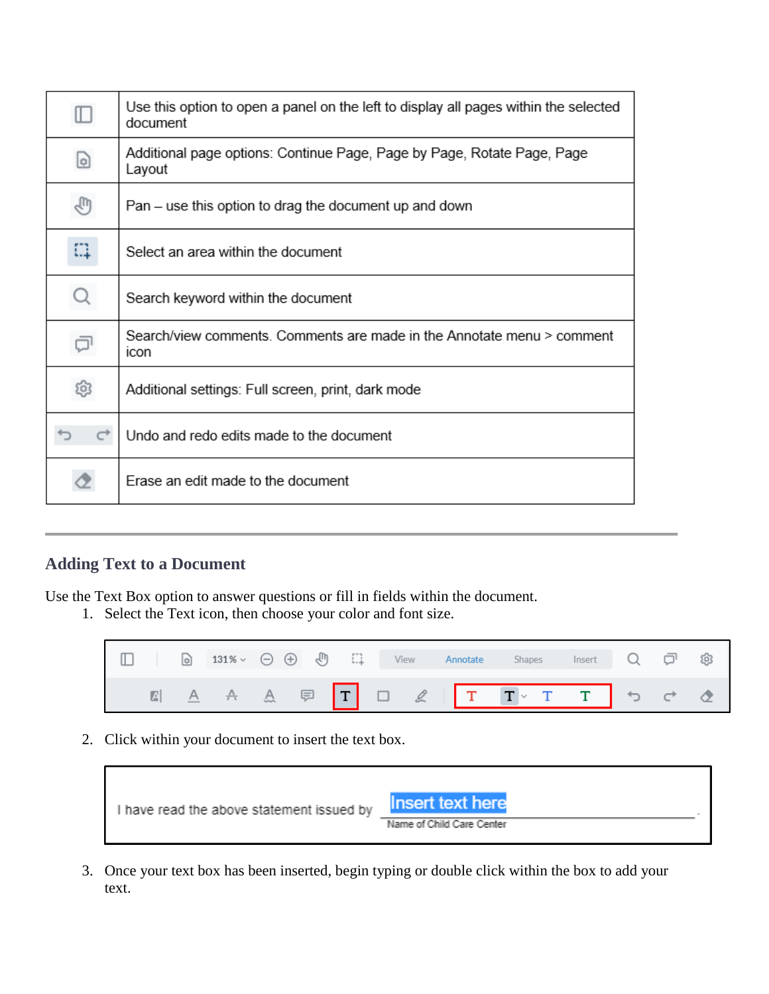| $\hbox{I\!D}$ | Use this option to open a panel on the left to display all pages within the selected<br>document |
|---------------|--------------------------------------------------------------------------------------------------|
| d             | Additional page options: Continue Page, Page by Page, Rotate Page, Page<br>Layout                |
| ₹ω            | Pan – use this option to drag the document up and down                                           |
| Ω             | Select an area within the document                                                               |
| Q             | Search keyword within the document                                                               |
|               | Search/view comments. Comments are made in the Annotate menu > comment<br>icon                   |
| ඹ             | Additional settings: Full screen, print, dark mode                                               |
| ←             | Undo and redo edits made to the document                                                         |
| Œ             | Erase an edit made to the document                                                               |

## **Adding Text to a Document**

Use the Text Box option to answer questions or fill in fields within the document.

1. Select the Text icon, then choose your color and font size.



2. Click within your document to insert the text box.

| I have read the above statement issued by | <b>Insert text here</b>   |
|-------------------------------------------|---------------------------|
|                                           | Name of Child Care Center |

3. Once your text box has been inserted, begin typing or double click within the box to add your text.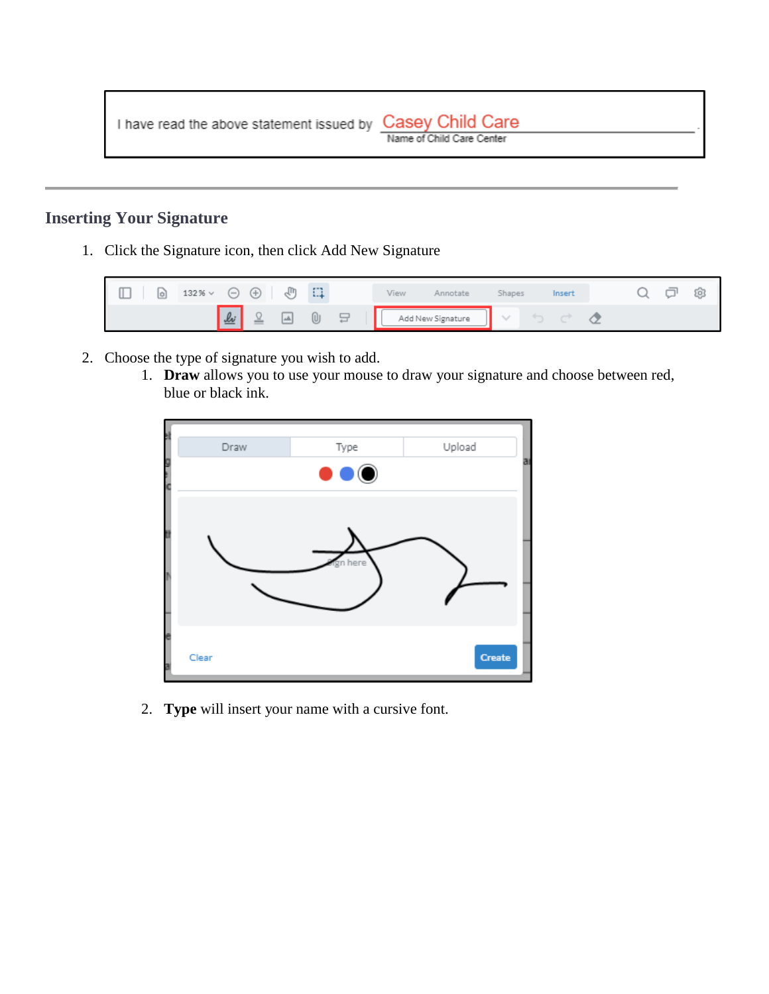I have read the above statement issued by Casey Child Care

### **Inserting Your Signature**

1. Click the Signature icon, then click Add New Signature



- 2. Choose the type of signature you wish to add.
	- 1. **Draw** allows you to use your mouse to draw your signature and choose between red, blue or black ink.



2. **Type** will insert your name with a cursive font.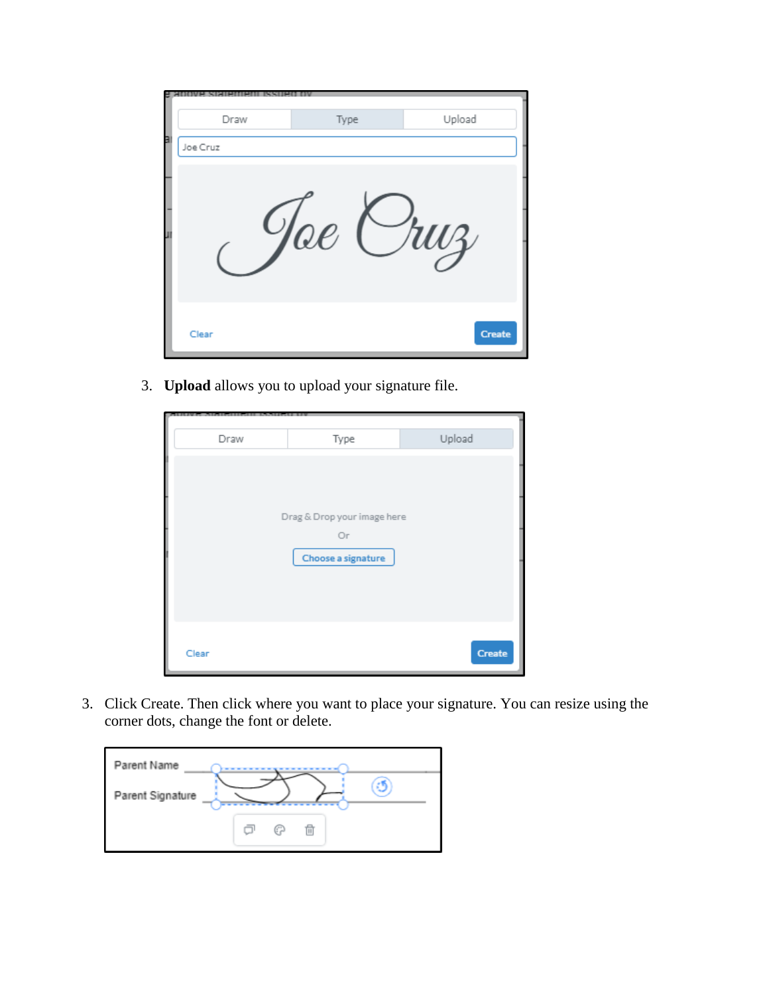|   | Draw     | Type       | Upload |
|---|----------|------------|--------|
| в | Joe Cruz |            |        |
| O |          | $\Omega$ l | ruz    |
|   | Clear    |            | Create |

3. **Upload** allows you to upload your signature file.

| Draw  | Type                        | Upload |  |  |  |  |  |
|-------|-----------------------------|--------|--|--|--|--|--|
|       |                             |        |  |  |  |  |  |
|       |                             |        |  |  |  |  |  |
|       |                             |        |  |  |  |  |  |
|       |                             |        |  |  |  |  |  |
|       | Drag & Drop your image here |        |  |  |  |  |  |
|       | Оr                          |        |  |  |  |  |  |
|       | Choose a signature          |        |  |  |  |  |  |
|       |                             |        |  |  |  |  |  |
|       |                             |        |  |  |  |  |  |
|       |                             |        |  |  |  |  |  |
|       |                             |        |  |  |  |  |  |
|       |                             |        |  |  |  |  |  |
| Clear |                             | Create |  |  |  |  |  |

3. Click Create. Then click where you want to place your signature. You can resize using the corner dots, change the font or delete.

| Parent Name      |   |   |   |  |
|------------------|---|---|---|--|
| Parent Signature |   |   |   |  |
|                  | − | ω | 而 |  |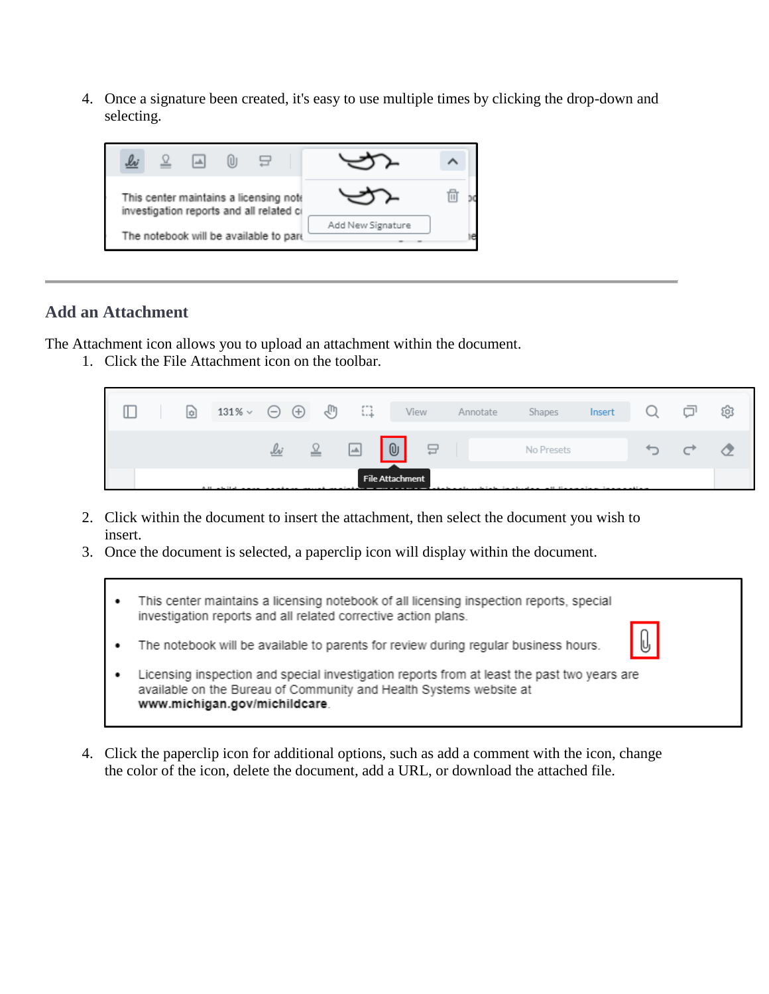4. Once a signature been created, it's easy to use multiple times by clicking the drop-down and selecting.



#### **Add an Attachment**

The Attachment icon allows you to upload an attachment within the document.

1. Click the File Attachment icon on the toolbar.



- 2. Click within the document to insert the attachment, then select the document you wish to insert.
- 3. Once the document is selected, a paperclip icon will display within the document.
	- This center maintains a licensing notebook of all licensing inspection reports, special  $\bullet$ investigation reports and all related corrective action plans.
	- The notebook will be available to parents for review during regular business hours. .
	- Licensing inspection and special investigation reports from at least the past two years are  $\bullet$ available on the Bureau of Community and Health Systems website at www.michigan.gov/michildcare.
- 4. Click the paperclip icon for additional options, such as add a comment with the icon, change the color of the icon, delete the document, add a URL, or download the attached file.